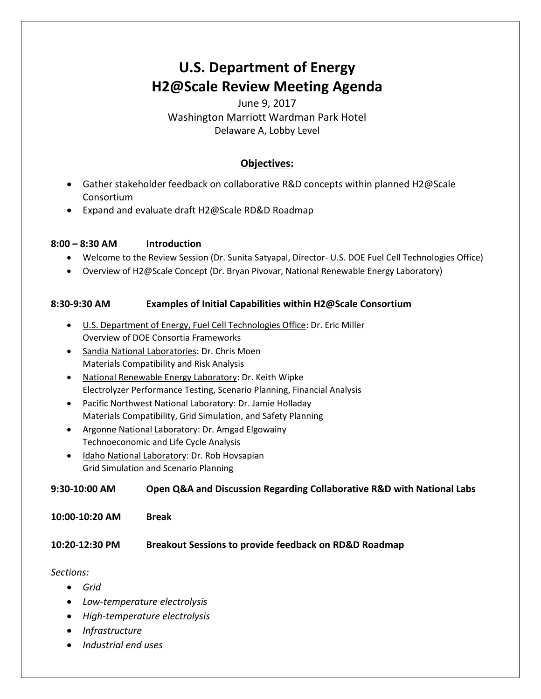# **U.S. Department of Energy H2@Scale Review Meeting Agenda**

# June 9, 2017 Washington Marriott Wardman Park Hotel Delaware A, Lobby Level

# **Objectives:**

- Gather stakeholder feedback on collaborative R&D concepts within planned H2@Scale Consortium
- Expand and evaluate draft H2@Scale RD&D Roadmap

#### **8:00 – 8:30 AM Introduction**

- Welcome to the Review Session (Dr. Sunita Satyapal, Director- U.S. DOE Fuel Cell Technologies Office)
- Overview of H2@Scale Concept (Dr. Bryan Pivovar, National Renewable Energy Laboratory)

### **8:30-9:30 AM Examples of Initial Capabilities within H2@Scale Consortium**

- U.S. Department of Energy, Fuel Cell Technologies Office: Dr. Eric Miller Overview of DOE Consortia Frameworks
- Sandia National Laboratories: Dr. Chris Moen Materials Compatibility and Risk Analysis
- National Renewable Energy Laboratory: Dr. Keith Wipke Electrolyzer Performance Testing, Scenario Planning, Financial Analysis
- Pacific Northwest National Laboratory: Dr. Jamie Holladay Materials Compatibility, Grid Simulation, and Safety Planning
- Argonne National Laboratory: Dr. Amgad Elgowainy Technoeconomic and Life Cycle Analysis
- Idaho National Laboratory: Dr. Rob Hovsapian Grid Simulation and Scenario Planning

#### **9:30-10:00 AM Open Q&A and Discussion Regarding Collaborative R&D with National Labs**

**10:00-10:20 AM Break**

#### **10:20-12:30 PM Breakout Sessions to provide feedback on RD&D Roadmap**

#### *Sections:*

- *Grid*
- *Low-temperature electrolysis*
- *High-temperature electrolysis*
- *Infrastructure*
- *Industrial end uses*